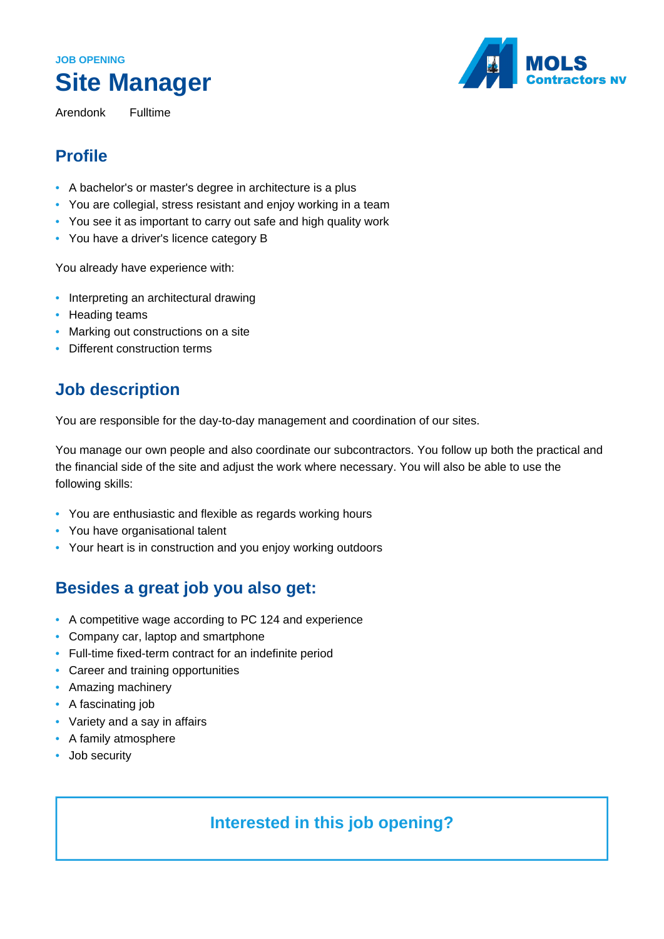# **JOB OPENING Site Manager**

Arendonk Fulltime



## **Profile**

- A bachelor's or master's degree in architecture is a plus
- You are collegial, stress resistant and enjoy working in a team
- You see it as important to carry out safe and high quality work
- You have a driver's licence category B

You already have experience with:

- Interpreting an architectural drawing
- Heading teams
- Marking out constructions on a site
- Different construction terms

#### **Job description**

You are responsible for the day-to-day management and coordination of our sites.

You manage our own people and also coordinate our subcontractors. You follow up both the practical and the financial side of the site and adjust the work where necessary. You will also be able to use the following skills:

- You are enthusiastic and flexible as regards working hours
- You have organisational talent
- Your heart is in construction and you enjoy working outdoors

# **Besides a great job you also get:**

- A competitive wage according to PC 124 and experience
- Company car, laptop and smartphone
- Full-time fixed-term contract for an indefinite period
- Career and training opportunities
- Amazing machinery
- A fascinating job
- Variety and a say in affairs
- A family atmosphere
- Job security

### **Interested in this job opening?**